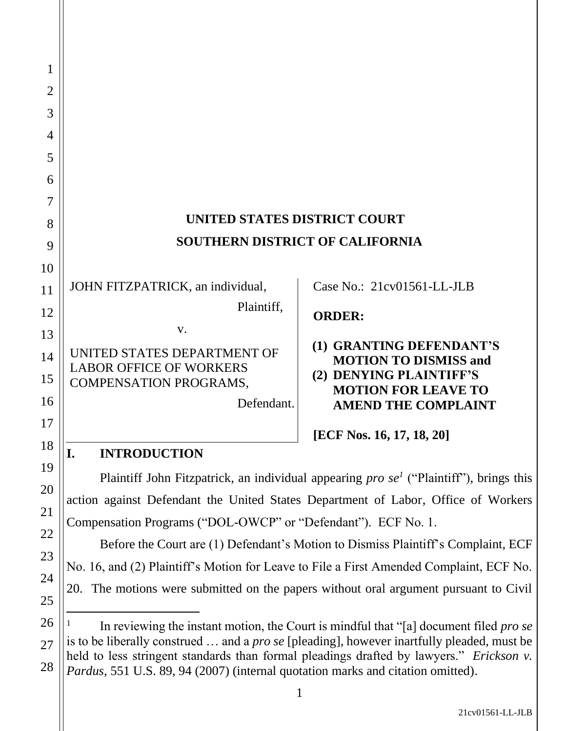| 1              |                                                                                              |                                                          |
|----------------|----------------------------------------------------------------------------------------------|----------------------------------------------------------|
| $\overline{2}$ |                                                                                              |                                                          |
| 3              |                                                                                              |                                                          |
| $\overline{4}$ |                                                                                              |                                                          |
| 5              |                                                                                              |                                                          |
| 6              |                                                                                              |                                                          |
| 7              |                                                                                              |                                                          |
| 8              | UNITED STATES DISTRICT COURT                                                                 |                                                          |
| 9              | <b>SOUTHERN DISTRICT OF CALIFORNIA</b>                                                       |                                                          |
| 10             |                                                                                              |                                                          |
| 11             | JOHN FITZPATRICK, an individual,                                                             | Case No.: 21cv01561-LL-JLB                               |
| 12             | Plaintiff,                                                                                   | <b>ORDER:</b>                                            |
| 13             | V.                                                                                           |                                                          |
| 14             | UNITED STATES DEPARTMENT OF<br><b>LABOR OFFICE OF WORKERS</b>                                | (1) GRANTING DEFENDANT'S<br><b>MOTION TO DISMISS and</b> |
| 15             | <b>COMPENSATION PROGRAMS,</b>                                                                | (2) DENYING PLAINTIFF'S<br><b>MOTION FOR LEAVE TO</b>    |
| 16             | Defendant.                                                                                   | <b>AMEND THE COMPLAINT</b>                               |
| 17             |                                                                                              |                                                          |
| 18             | <b>INTRODUCTION</b><br>I.                                                                    | [ECF Nos. 16, 17, 18, 20]                                |
| 19             | Plaintiff John Fitzpatrick, an individual appearing <i>pro se</i> ("Plaintiff"), brings this |                                                          |
| 20             | action against Defendant the United States Department of Labor, Office of Workers            |                                                          |
| 21             | Compensation Programs ("DOL-OWCP" or "Defendant"). ECF No. 1.                                |                                                          |

Before the Court are (1) Defendant's Motion to Dismiss Plaintiff's Complaint, ECF No. 16, and (2) Plaintiff's Motion for Leave to File a First Amended Complaint, ECF No. 20. The motions were submitted on the papers without oral argument pursuant to Civil

22

23

24

25

<sup>26</sup> 28 1 In reviewing the instant motion, the Court is mindful that "[a] document filed *pro se* is to be liberally construed … and a *pro se* [pleading], however inartfully pleaded, must be held to less stringent standards than formal pleadings drafted by lawyers." *Erickson v. Pardus*, 551 U.S. 89, 94 (2007) (internal quotation marks and citation omitted).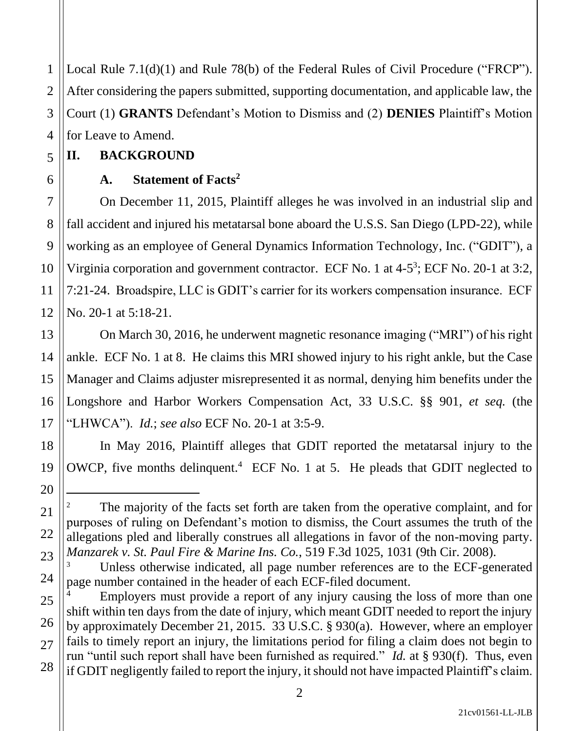1 2 3 4 Local Rule 7.1(d)(1) and Rule 78(b) of the Federal Rules of Civil Procedure ("FRCP"). After considering the papers submitted, supporting documentation, and applicable law, the Court (1) **GRANTS** Defendant's Motion to Dismiss and (2) **DENIES** Plaintiff's Motion for Leave to Amend.

## **II. BACKGROUND**

5

6

7

8

9

10

11

12

13

14

15

16

17

18

19

20

21

22

23

24

## **A. Statement of Facts<sup>2</sup>**

On December 11, 2015, Plaintiff alleges he was involved in an industrial slip and fall accident and injured his metatarsal bone aboard the U.S.S. San Diego (LPD-22), while working as an employee of General Dynamics Information Technology, Inc. ("GDIT"), a Virginia corporation and government contractor. ECF No. 1 at 4-5<sup>3</sup>; ECF No. 20-1 at 3:2, 7:21-24. Broadspire, LLC is GDIT's carrier for its workers compensation insurance. ECF No. 20-1 at 5:18-21.

On March 30, 2016, he underwent magnetic resonance imaging ("MRI") of his right ankle. ECF No. 1 at 8. He claims this MRI showed injury to his right ankle, but the Case Manager and Claims adjuster misrepresented it as normal, denying him benefits under the Longshore and Harbor Workers Compensation Act, 33 U.S.C. §§ 901, *et seq.* (the "LHWCA"). *Id.*; *see also* ECF No. 20-1 at 3:5-9.

In May 2016, Plaintiff alleges that GDIT reported the metatarsal injury to the OWCP, five months delinquent.<sup>4</sup> ECF No. 1 at 5. He pleads that GDIT neglected to

The majority of the facts set forth are taken from the operative complaint, and for purposes of ruling on Defendant's motion to dismiss, the Court assumes the truth of the allegations pled and liberally construes all allegations in favor of the non-moving party. *Manzarek v. St. Paul Fire & Marine Ins. Co.*, 519 F.3d 1025, 1031 (9th Cir. 2008).

Unless otherwise indicated, all page number references are to the ECF-generated page number contained in the header of each ECF-filed document.

<sup>25</sup> 26 27 28 Employers must provide a report of any injury causing the loss of more than one shift within ten days from the date of injury, which meant GDIT needed to report the injury by approximately December 21, 2015. 33 U.S.C. § 930(a). However, where an employer fails to timely report an injury, the limitations period for filing a claim does not begin to run "until such report shall have been furnished as required." *Id.* at § 930(f). Thus, even if GDIT negligently failed to report the injury, it should not have impacted Plaintiff's claim.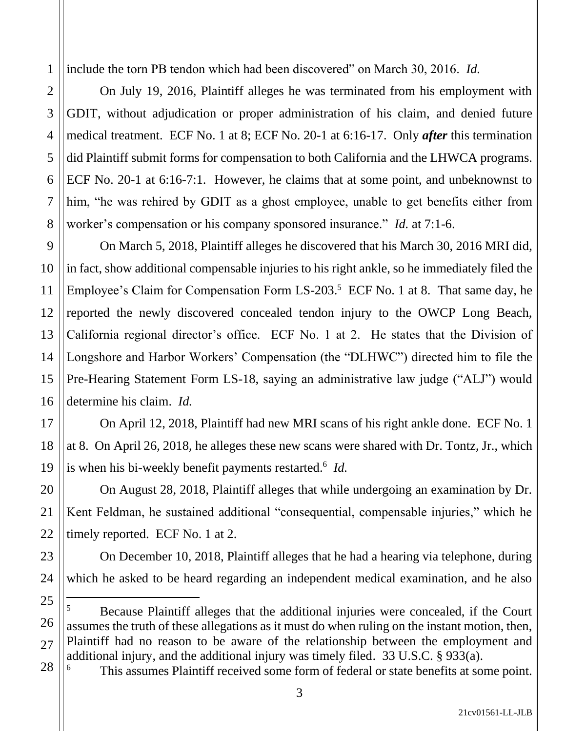include the torn PB tendon which had been discovered" on March 30, 2016. *Id.* 

On July 19, 2016, Plaintiff alleges he was terminated from his employment with GDIT, without adjudication or proper administration of his claim, and denied future medical treatment. ECF No. 1 at 8; ECF No. 20-1 at 6:16-17. Only *after* this termination did Plaintiff submit forms for compensation to both California and the LHWCA programs. ECF No. 20-1 at 6:16-7:1. However, he claims that at some point, and unbeknownst to him, "he was rehired by GDIT as a ghost employee, unable to get benefits either from worker's compensation or his company sponsored insurance." *Id.* at 7:1-6.

On March 5, 2018, Plaintiff alleges he discovered that his March 30, 2016 MRI did, in fact, show additional compensable injuries to his right ankle, so he immediately filed the Employee's Claim for Compensation Form  $LS-203$ <sup>5</sup> ECF No. 1 at 8. That same day, he reported the newly discovered concealed tendon injury to the OWCP Long Beach, California regional director's office. ECF No. 1 at 2. He states that the Division of Longshore and Harbor Workers' Compensation (the "DLHWC") directed him to file the Pre-Hearing Statement Form LS-18, saying an administrative law judge ("ALJ") would determine his claim. *Id.* 

On April 12, 2018, Plaintiff had new MRI scans of his right ankle done. ECF No. 1 at 8. On April 26, 2018, he alleges these new scans were shared with Dr. Tontz, Jr., which is when his bi-weekly benefit payments restarted.<sup>6</sup> *Id.* 

On August 28, 2018, Plaintiff alleges that while undergoing an examination by Dr. Kent Feldman, he sustained additional "consequential, compensable injuries," which he timely reported. ECF No. 1 at 2.

On December 10, 2018, Plaintiff alleges that he had a hearing via telephone, during which he asked to be heard regarding an independent medical examination, and he also

1

2

3

 $5$  Because Plaintiff alleges that the additional injuries were concealed, if the Court assumes the truth of these allegations as it must do when ruling on the instant motion, then, Plaintiff had no reason to be aware of the relationship between the employment and additional injury, and the additional injury was timely filed. 33 U.S.C. § 933(a).

This assumes Plaintiff received some form of federal or state benefits at some point.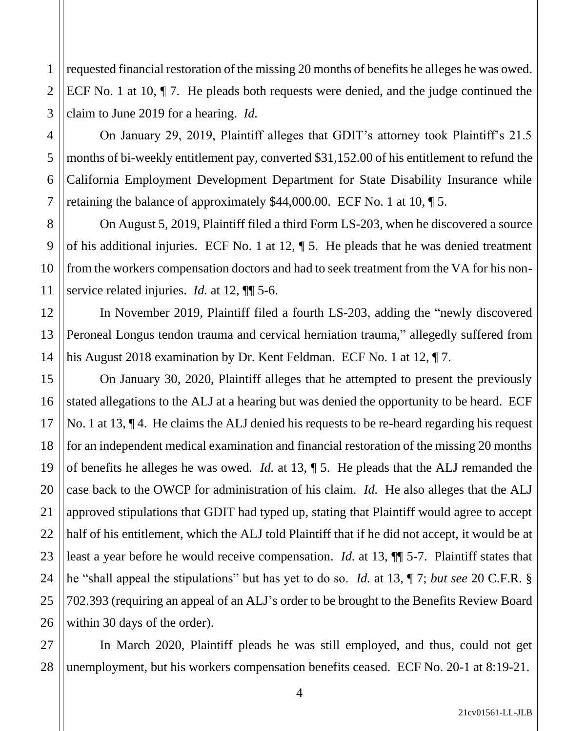requested financial restoration of the missing 20 months of benefits he alleges he was owed. ECF No. 1 at 10, ¶ 7. He pleads both requests were denied, and the judge continued the claim to June 2019 for a hearing. *Id.* 

On January 29, 2019, Plaintiff alleges that GDIT's attorney took Plaintiff's 21.5 months of bi-weekly entitlement pay, converted \$31,152.00 of his entitlement to refund the California Employment Development Department for State Disability Insurance while retaining the balance of approximately \$44,000.00. ECF No. 1 at 10, ¶ 5.

On August 5, 2019, Plaintiff filed a third Form LS-203, when he discovered a source of his additional injuries. ECF No. 1 at 12, ¶ 5. He pleads that he was denied treatment from the workers compensation doctors and had to seek treatment from the VA for his nonservice related injuries. *Id.* at 12, ¶¶ 5-6.

In November 2019, Plaintiff filed a fourth LS-203, adding the "newly discovered Peroneal Longus tendon trauma and cervical herniation trauma," allegedly suffered from his August 2018 examination by Dr. Kent Feldman. ECF No. 1 at 12, ¶ 7.

On January 30, 2020, Plaintiff alleges that he attempted to present the previously stated allegations to the ALJ at a hearing but was denied the opportunity to be heard. ECF No. 1 at 13, ¶ 4. He claims the ALJ denied his requests to be re-heard regarding his request for an independent medical examination and financial restoration of the missing 20 months of benefits he alleges he was owed. *Id.* at 13, ¶ 5. He pleads that the ALJ remanded the case back to the OWCP for administration of his claim. *Id.* He also alleges that the ALJ approved stipulations that GDIT had typed up, stating that Plaintiff would agree to accept half of his entitlement, which the ALJ told Plaintiff that if he did not accept, it would be at least a year before he would receive compensation. *Id.* at 13, ¶¶ 5-7. Plaintiff states that he "shall appeal the stipulations" but has yet to do so. *Id.* at 13, ¶ 7; *but see* 20 C.F.R. § 702.393 (requiring an appeal of an ALJ's order to be brought to the Benefits Review Board within 30 days of the order).

27 28 In March 2020, Plaintiff pleads he was still employed, and thus, could not get unemployment, but his workers compensation benefits ceased. ECF No. 20-1 at 8:19-21.

1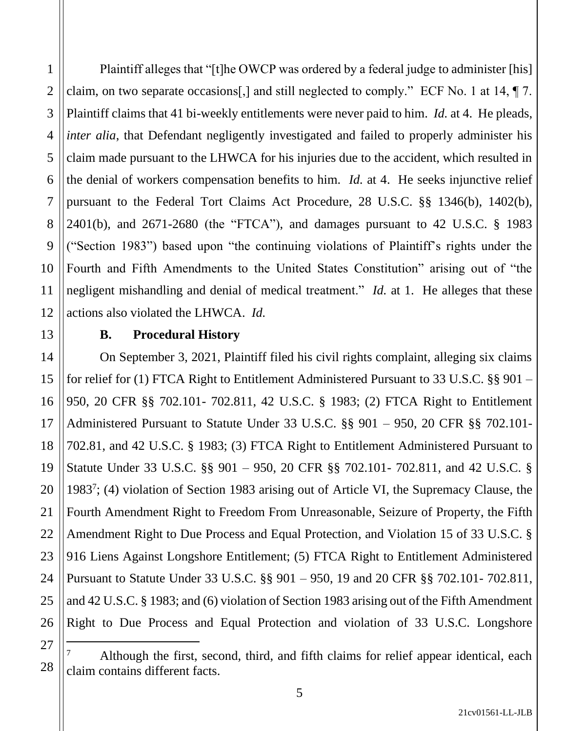1

Plaintiff alleges that "[t]he OWCP was ordered by a federal judge to administer [his] claim, on two separate occasions[,] and still neglected to comply." ECF No. 1 at 14, ¶ 7. Plaintiff claims that 41 bi-weekly entitlements were never paid to him. *Id.* at 4. He pleads, *inter alia*, that Defendant negligently investigated and failed to properly administer his claim made pursuant to the LHWCA for his injuries due to the accident, which resulted in the denial of workers compensation benefits to him. *Id.* at 4. He seeks injunctive relief pursuant to the Federal Tort Claims Act Procedure, 28 U.S.C. §§ 1346(b), 1402(b), 2401(b), and 2671-2680 (the "FTCA"), and damages pursuant to 42 U.S.C. § 1983 ("Section 1983") based upon "the continuing violations of Plaintiff's rights under the Fourth and Fifth Amendments to the United States Constitution" arising out of "the negligent mishandling and denial of medical treatment." *Id.* at 1. He alleges that these actions also violated the LHWCA. *Id.* 

### **B. Procedural History**

On September 3, 2021, Plaintiff filed his civil rights complaint, alleging six claims for relief for (1) FTCA Right to Entitlement Administered Pursuant to 33 U.S.C. §§ 901 – 950, 20 CFR §§ 702.101- 702.811, 42 U.S.C. § 1983; (2) FTCA Right to Entitlement Administered Pursuant to Statute Under 33 U.S.C. §§ 901 – 950, 20 CFR §§ 702.101- 702.81, and 42 U.S.C. § 1983; (3) FTCA Right to Entitlement Administered Pursuant to Statute Under 33 U.S.C. §§ 901 – 950, 20 CFR §§ 702.101- 702.811, and 42 U.S.C. § 1983<sup>7</sup> ; (4) violation of Section 1983 arising out of Article VI, the Supremacy Clause, the Fourth Amendment Right to Freedom From Unreasonable, Seizure of Property, the Fifth Amendment Right to Due Process and Equal Protection, and Violation 15 of 33 U.S.C. § 916 Liens Against Longshore Entitlement; (5) FTCA Right to Entitlement Administered Pursuant to Statute Under 33 U.S.C. §§ 901 – 950, 19 and 20 CFR §§ 702.101- 702.811, and 42 U.S.C. § 1983; and (6) violation of Section 1983 arising out of the Fifth Amendment Right to Due Process and Equal Protection and violation of 33 U.S.C. Longshore

Although the first, second, third, and fifth claims for relief appear identical, each claim contains different facts.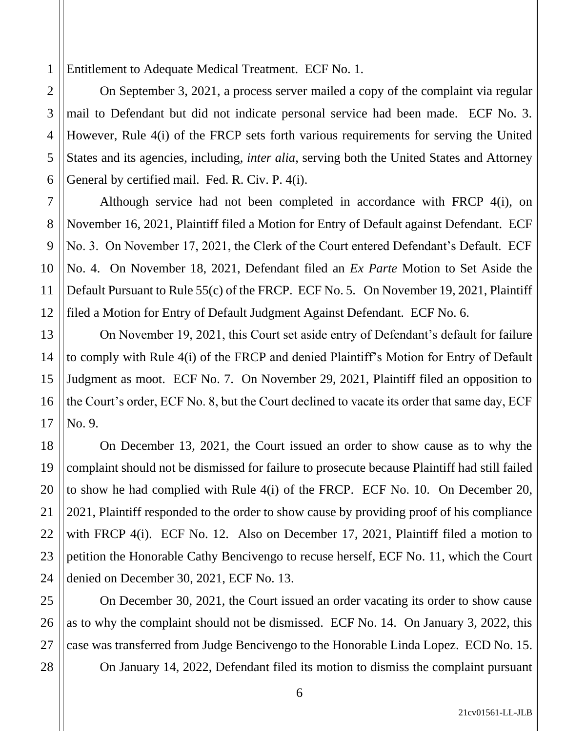1 Entitlement to Adequate Medical Treatment. ECF No. 1.

On September 3, 2021, a process server mailed a copy of the complaint via regular mail to Defendant but did not indicate personal service had been made. ECF No. 3. However, Rule 4(i) of the FRCP sets forth various requirements for serving the United States and its agencies, including, *inter alia*, serving both the United States and Attorney General by certified mail. Fed. R. Civ. P. 4(i).

Although service had not been completed in accordance with FRCP 4(i), on November 16, 2021, Plaintiff filed a Motion for Entry of Default against Defendant. ECF No. 3. On November 17, 2021, the Clerk of the Court entered Defendant's Default. ECF No. 4. On November 18, 2021, Defendant filed an *Ex Parte* Motion to Set Aside the Default Pursuant to Rule 55(c) of the FRCP. ECF No. 5. On November 19, 2021, Plaintiff filed a Motion for Entry of Default Judgment Against Defendant. ECF No. 6.

On November 19, 2021, this Court set aside entry of Defendant's default for failure to comply with Rule 4(i) of the FRCP and denied Plaintiff's Motion for Entry of Default Judgment as moot. ECF No. 7. On November 29, 2021, Plaintiff filed an opposition to the Court's order, ECF No. 8, but the Court declined to vacate its order that same day, ECF No. 9.

On December 13, 2021, the Court issued an order to show cause as to why the complaint should not be dismissed for failure to prosecute because Plaintiff had still failed to show he had complied with Rule 4(i) of the FRCP. ECF No. 10. On December 20, 2021, Plaintiff responded to the order to show cause by providing proof of his compliance with FRCP 4(i). ECF No. 12. Also on December 17, 2021, Plaintiff filed a motion to petition the Honorable Cathy Bencivengo to recuse herself, ECF No. 11, which the Court denied on December 30, 2021, ECF No. 13.

On December 30, 2021, the Court issued an order vacating its order to show cause as to why the complaint should not be dismissed. ECF No. 14. On January 3, 2022, this case was transferred from Judge Bencivengo to the Honorable Linda Lopez. ECD No. 15.

On January 14, 2022, Defendant filed its motion to dismiss the complaint pursuant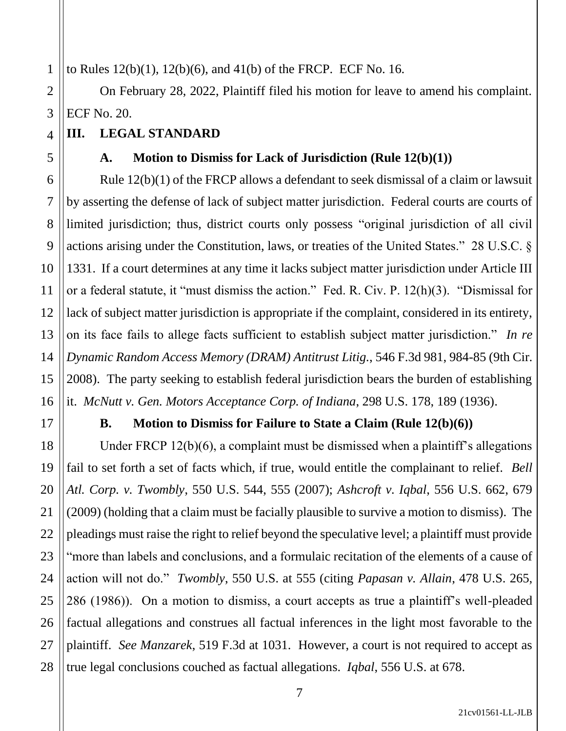to Rules 12(b)(1), 12(b)(6), and 41(b) of the FRCP. ECF No. 16.

2 3 On February 28, 2022, Plaintiff filed his motion for leave to amend his complaint. ECF No. 20.

## **III. LEGAL STANDARD**

## **A. Motion to Dismiss for Lack of Jurisdiction (Rule 12(b)(1))**

Rule 12(b)(1) of the FRCP allows a defendant to seek dismissal of a claim or lawsuit by asserting the defense of lack of subject matter jurisdiction. Federal courts are courts of limited jurisdiction; thus, district courts only possess "original jurisdiction of all civil actions arising under the Constitution, laws, or treaties of the United States." 28 U.S.C. § 1331. If a court determines at any time it lacks subject matter jurisdiction under Article III or a federal statute, it "must dismiss the action." Fed. R. Civ. P. 12(h)(3). "Dismissal for lack of subject matter jurisdiction is appropriate if the complaint, considered in its entirety, on its face fails to allege facts sufficient to establish subject matter jurisdiction." *In re Dynamic Random Access Memory (DRAM) Antitrust Litig.*, 546 F.3d 981, 984-85 (9th Cir. 2008). The party seeking to establish federal jurisdiction bears the burden of establishing it. *McNutt v. Gen. Motors Acceptance Corp. of Indiana*, 298 U.S. 178, 189 (1936).

1

4

5

6

7

8

9

10

11

12

13

14

15

16

17

21

27

## **B. Motion to Dismiss for Failure to State a Claim (Rule 12(b)(6))**

18 19 20 22 23 24 25 26 28 Under FRCP 12(b)(6), a complaint must be dismissed when a plaintiff's allegations fail to set forth a set of facts which, if true, would entitle the complainant to relief. *Bell Atl. Corp. v. Twombly*, 550 U.S. 544, 555 (2007); *Ashcroft v. Iqbal*, 556 U.S. 662, 679 (2009) (holding that a claim must be facially plausible to survive a motion to dismiss). The pleadings must raise the right to relief beyond the speculative level; a plaintiff must provide "more than labels and conclusions, and a formulaic recitation of the elements of a cause of action will not do." *Twombly*, 550 U.S. at 555 (citing *Papasan v. Allain*, 478 U.S. 265, 286 (1986)). On a motion to dismiss, a court accepts as true a plaintiff's well-pleaded factual allegations and construes all factual inferences in the light most favorable to the plaintiff. *See Manzarek*, 519 F.3d at 1031. However, a court is not required to accept as true legal conclusions couched as factual allegations. *Iqbal*, 556 U.S. at 678.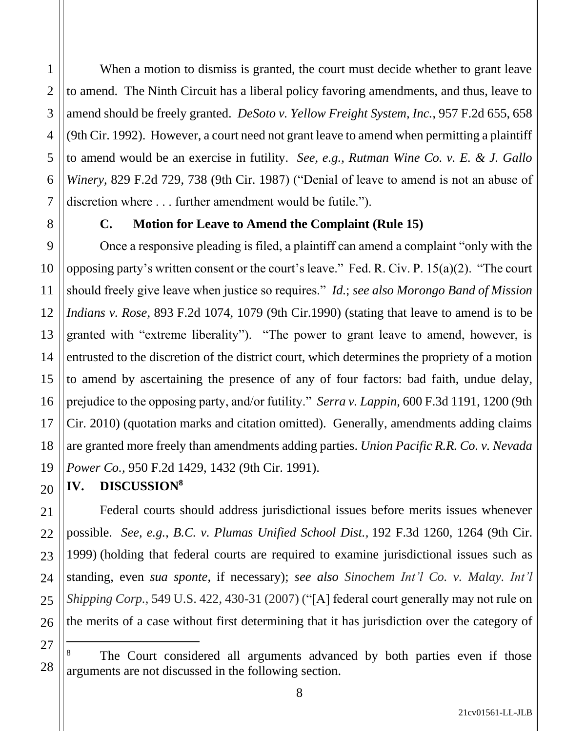When a motion to dismiss is granted, the court must decide whether to grant leave to amend. The Ninth Circuit has a liberal policy favoring amendments, and thus, leave to amend should be freely granted. *DeSoto v. Yellow Freight System, Inc.*, 957 F.2d 655, 658 (9th Cir. 1992). However, a court need not grant leave to amend when permitting a plaintiff to amend would be an exercise in futility. *See, e.g.*, *Rutman Wine Co. v. E. & J. Gallo Winery*, 829 F.2d 729, 738 (9th Cir. 1987) ("Denial of leave to amend is not an abuse of discretion where . . . further amendment would be futile.").

1

2

3

4

5

6

7

8

20

21

22

23

24

25

26

### **C. Motion for Leave to Amend the Complaint (Rule 15)**

9 10 11 12 13 14 15 16 17 18 19 Once a responsive pleading is filed, a plaintiff can amend a complaint "only with the opposing party's written consent or the court's leave." Fed. R. Civ. P. 15(a)(2). "The court should freely give leave when justice so requires." *Id.*; *see also Morongo Band of Mission Indians v. Rose*, 893 F.2d 1074, 1079 (9th Cir.1990) (stating that leave to amend is to be granted with "extreme liberality"). "The power to grant leave to amend, however, is entrusted to the discretion of the district court, which determines the propriety of a motion to amend by ascertaining the presence of any of four factors: bad faith, undue delay, prejudice to the opposing party, and/or futility." *Serra v. Lappin,* 600 F.3d 1191, 1200 (9th Cir. 2010) (quotation marks and citation omitted). Generally, amendments adding claims are granted more freely than amendments adding parties. *Union Pacific R.R. Co. v. Nevada Power Co.,* 950 F.2d 1429, 1432 (9th Cir. 1991).

**IV. DISCUSSION<sup>8</sup>**

Federal courts should address jurisdictional issues before merits issues whenever possible. *See, e.g.*, *B.C. v. Plumas Unified School Dist.,* 192 F.3d 1260, 1264 (9th Cir. 1999) (holding that federal courts are required to examine jurisdictional issues such as standing, even *sua sponte*, if necessary); *see also Sinochem Int'l Co. v. Malay. Int'l Shipping Corp.*, 549 U.S. 422, 430-31 (2007) ("[A] federal court generally may not rule on the merits of a case without first determining that it has jurisdiction over the category of

<sup>27</sup> 28 The Court considered all arguments advanced by both parties even if those arguments are not discussed in the following section.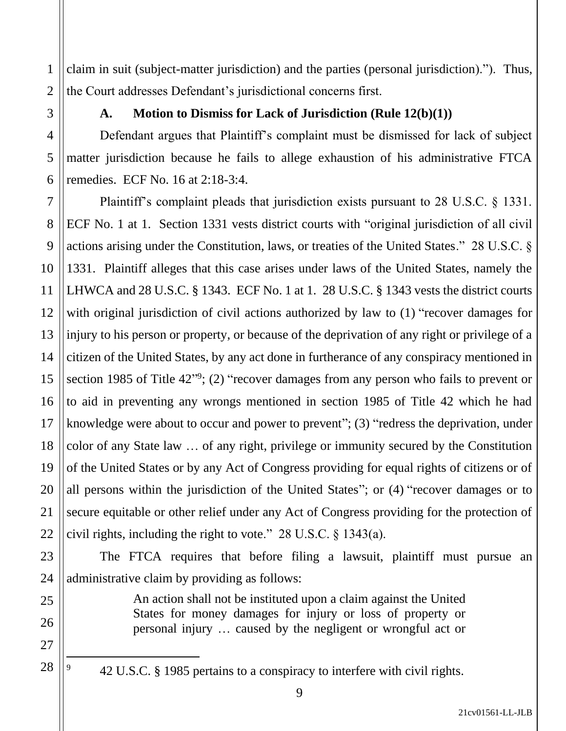claim in suit (subject-matter jurisdiction) and the parties (personal jurisdiction)."). Thus, the Court addresses Defendant's jurisdictional concerns first.

1

2

3

4

5

6

7

8

9

10

11

12

13

14

15

16

17

18

19

20

21

22

23

24

25

26

27

28

## **A. Motion to Dismiss for Lack of Jurisdiction (Rule 12(b)(1))**

Defendant argues that Plaintiff's complaint must be dismissed for lack of subject matter jurisdiction because he fails to allege exhaustion of his administrative FTCA remedies. ECF No. 16 at 2:18-3:4.

Plaintiff's complaint pleads that jurisdiction exists pursuant to 28 U.S.C. § 1331. ECF No. 1 at 1. Section 1331 vests district courts with "original jurisdiction of all civil actions arising under the Constitution, laws, or treaties of the United States." 28 U.S.C. § 1331. Plaintiff alleges that this case arises under laws of the United States, namely the LHWCA and 28 U.S.C. § 1343. ECF No. 1 at 1. 28 U.S.C. § 1343 vests the district courts with original jurisdiction of civil actions authorized by law to  $(1)$  "recover damages for injury to his person or property, or because of the deprivation of any right or privilege of a citizen of the United States, by any act done in furtherance of any conspiracy mentioned in section 1985 of Title  $42^{\prime\prime\prime}$ ; (2) "recover damages from any person who fails to prevent or to aid in preventing any wrongs mentioned in section 1985 of Title 42 which he had knowledge were about to occur and power to prevent"; (3) "redress the deprivation, under color of any State law … of any right, privilege or immunity secured by the Constitution of the United States or by any Act of Congress providing for equal rights of citizens or of all persons within the jurisdiction of the United States"; or (4) "recover damages or to secure equitable or other relief under any Act of Congress providing for the protection of civil rights, including the right to vote." 28 U.S.C. § 1343(a).

The FTCA requires that before filing a lawsuit, plaintiff must pursue an administrative claim by providing as follows:

> An action shall not be instituted upon a claim against the United States for money damages for injury or loss of property or personal injury … caused by the negligent or wrongful act or

<sup>9</sup> 42 U.S.C. § 1985 pertains to a conspiracy to interfere with civil rights.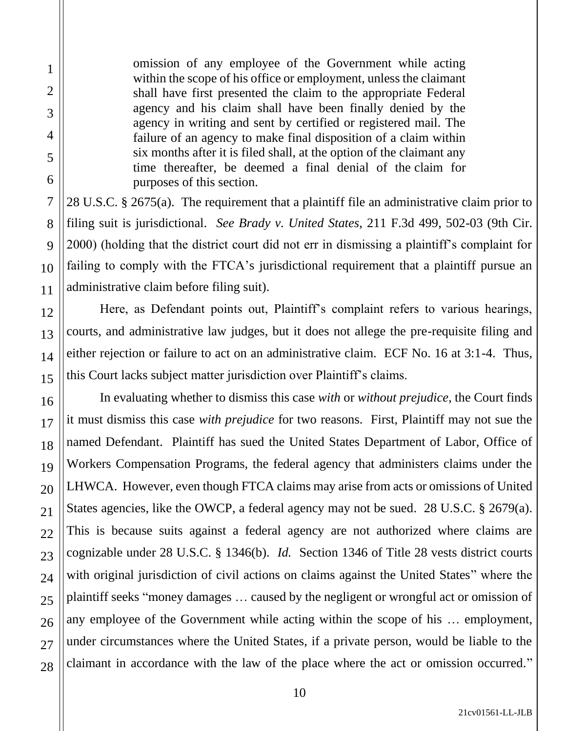omission of any employee of the Government while acting within the scope of his office or employment, unless the claimant shall have first presented the claim to the appropriate Federal agency and his claim shall have been finally denied by the agency in writing and sent by certified or registered mail. The failure of an agency to make final disposition of a claim within six months after it is filed shall, at the option of the claimant any time thereafter, be deemed a final denial of the claim for purposes of this section.

28 U.S.C. § 2675(a). The requirement that a plaintiff file an administrative claim prior to filing suit is jurisdictional. *See Brady v. United States*, 211 F.3d 499, 502-03 (9th Cir. 2000) (holding that the district court did not err in dismissing a plaintiff's complaint for failing to comply with the FTCA's jurisdictional requirement that a plaintiff pursue an administrative claim before filing suit).

Here, as Defendant points out, Plaintiff's complaint refers to various hearings, courts, and administrative law judges, but it does not allege the pre-requisite filing and either rejection or failure to act on an administrative claim. ECF No. 16 at 3:1-4. Thus, this Court lacks subject matter jurisdiction over Plaintiff's claims.

In evaluating whether to dismiss this case *with* or *without prejudice*, the Court finds it must dismiss this case *with prejudice* for two reasons. First, Plaintiff may not sue the named Defendant. Plaintiff has sued the United States Department of Labor, Office of Workers Compensation Programs, the federal agency that administers claims under the LHWCA. However, even though FTCA claims may arise from acts or omissions of United States agencies, like the OWCP, a federal agency may not be sued. 28 U.S.C. § 2679(a). This is because suits against a federal agency are not authorized where claims are cognizable under 28 U.S.C. § 1346(b). *Id.* Section 1346 of Title 28 vests district courts with original jurisdiction of civil actions on claims against the United States" where the plaintiff seeks "money damages … caused by the negligent or wrongful act or omission of any employee of the Government while acting within the scope of his … employment, under circumstances where the United States, if a private person, would be liable to the claimant in accordance with the law of the place where the act or omission occurred."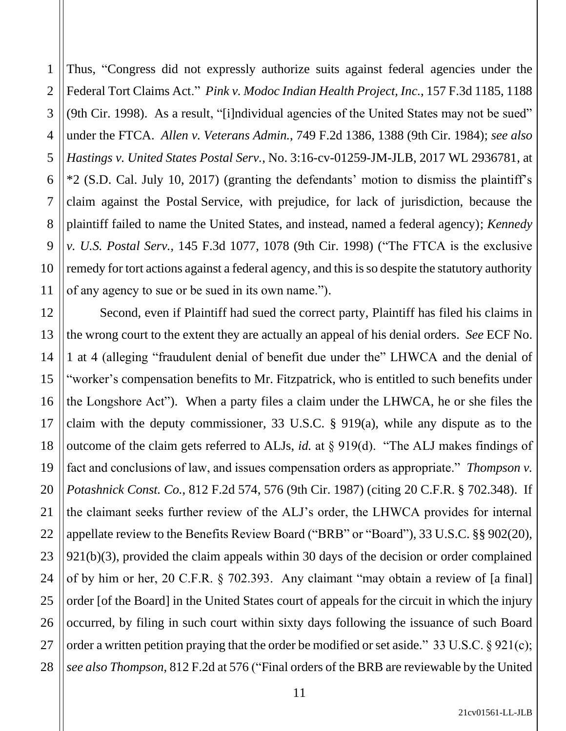1 2 3 4 5 6 7 8 9 10 11 Thus, "Congress did not expressly authorize suits against federal agencies under the Federal Tort Claims Act." *Pink v. Modoc Indian Health Project, Inc.*, 157 F.3d 1185, 1188 (9th Cir. 1998). As a result, "[i]ndividual agencies of the United States may not be sued" under the FTCA. *Allen v. Veterans Admin.*, 749 F.2d 1386, 1388 (9th Cir. 1984); *see also Hastings v. United States Postal Serv.*, No. 3:16-cv-01259-JM-JLB, 2017 WL 2936781, at \*2 (S.D. Cal. July 10, 2017) (granting the defendants' motion to dismiss the plaintiff's claim against the Postal Service, with prejudice, for lack of jurisdiction, because the plaintiff failed to name the United States, and instead, named a federal agency); *Kennedy v. U.S. Postal Serv.*, 145 F.3d 1077, 1078 (9th Cir. 1998) ("The FTCA is the exclusive remedy for tort actions against a federal agency, and this is so despite the statutory authority of any agency to sue or be sued in its own name.").

12 13 14 15 16 17 18 19 20 21 22 23 24 25 26 27 28 Second, even if Plaintiff had sued the correct party, Plaintiff has filed his claims in the wrong court to the extent they are actually an appeal of his denial orders. *See* ECF No. 1 at 4 (alleging "fraudulent denial of benefit due under the" LHWCA and the denial of "worker's compensation benefits to Mr. Fitzpatrick, who is entitled to such benefits under the Longshore Act"). When a party files a claim under the LHWCA, he or she files the claim with the deputy commissioner, 33 U.S.C. § 919(a), while any dispute as to the outcome of the claim gets referred to ALJs, *id.* at § 919(d). "The ALJ makes findings of fact and conclusions of law, and issues compensation orders as appropriate." *Thompson v. Potashnick Const. Co.*, 812 F.2d 574, 576 (9th Cir. 1987) (citing 20 C.F.R. § 702.348). If the claimant seeks further review of the ALJ's order, the LHWCA provides for internal appellate review to the Benefits Review Board ("BRB" or "Board"), 33 U.S.C. §§ 902(20), 921(b)(3), provided the claim appeals within 30 days of the decision or order complained of by him or her, 20 C.F.R. § 702.393. Any claimant "may obtain a review of [a final] order [of the Board] in the United States court of appeals for the circuit in which the injury occurred, by filing in such court within sixty days following the issuance of such Board order a written petition praying that the order be modified or set aside." 33 U.S.C.  $\S 921(c)$ ; *see also Thompson*, 812 F.2d at 576 ("Final orders of the BRB are reviewable by the United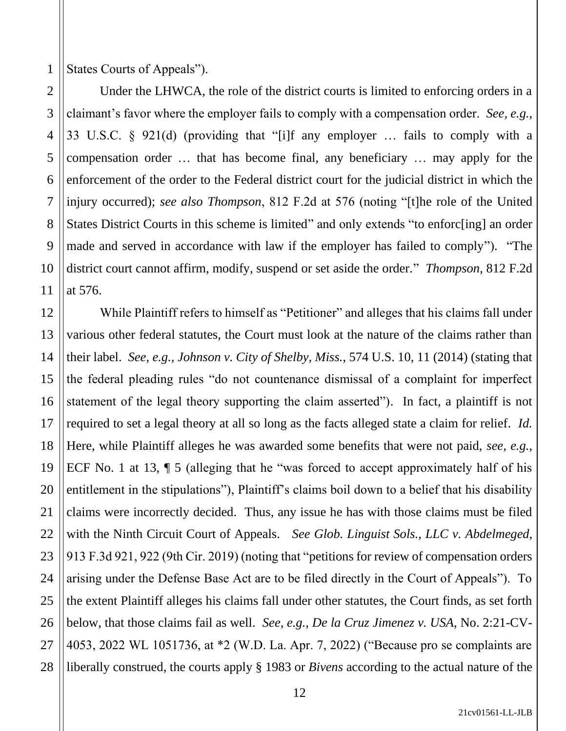1 States Courts of Appeals").

2

3

4

5

6

7

8

9

10

11

17

21

27

Under the LHWCA, the role of the district courts is limited to enforcing orders in a claimant's favor where the employer fails to comply with a compensation order. *See, e.g.*, 33 U.S.C. § 921(d) (providing that "[i]f any employer … fails to comply with a compensation order … that has become final, any beneficiary … may apply for the enforcement of the order to the Federal district court for the judicial district in which the injury occurred); *see also Thompson*, 812 F.2d at 576 (noting "[t]he role of the United States District Courts in this scheme is limited" and only extends "to enforc[ing] an order made and served in accordance with law if the employer has failed to comply"). "The district court cannot affirm, modify, suspend or set aside the order." *Thompson*, 812 F.2d at 576.

12 13 14 15 16 18 19 20 22 23 24 25 26 28 While Plaintiff refers to himself as "Petitioner" and alleges that his claims fall under various other federal statutes, the Court must look at the nature of the claims rather than their label. *See, e.g.*, *Johnson v. City of Shelby, Miss.*, 574 U.S. 10, 11 (2014) (stating that the federal pleading rules "do not countenance dismissal of a complaint for imperfect statement of the legal theory supporting the claim asserted"). In fact, a plaintiff is not required to set a legal theory at all so long as the facts alleged state a claim for relief. *Id.*  Here, while Plaintiff alleges he was awarded some benefits that were not paid, *see, e.g.*, ECF No. 1 at 13, ¶ 5 (alleging that he "was forced to accept approximately half of his entitlement in the stipulations"), Plaintiff's claims boil down to a belief that his disability claims were incorrectly decided. Thus, any issue he has with those claims must be filed with the Ninth Circuit Court of Appeals. *See Glob. Linguist Sols., LLC v. Abdelmeged*, 913 F.3d 921, 922 (9th Cir. 2019) (noting that "petitions for review of compensation orders arising under the Defense Base Act are to be filed directly in the Court of Appeals"). To the extent Plaintiff alleges his claims fall under other statutes, the Court finds, as set forth below, that those claims fail as well. *See, e.g.*, *De la Cruz Jimenez v. USA*, No. 2:21-CV-4053, 2022 WL 1051736, at \*2 (W.D. La. Apr. 7, 2022) ("Because pro se complaints are liberally construed, the courts apply § 1983 or *Bivens* according to the actual nature of the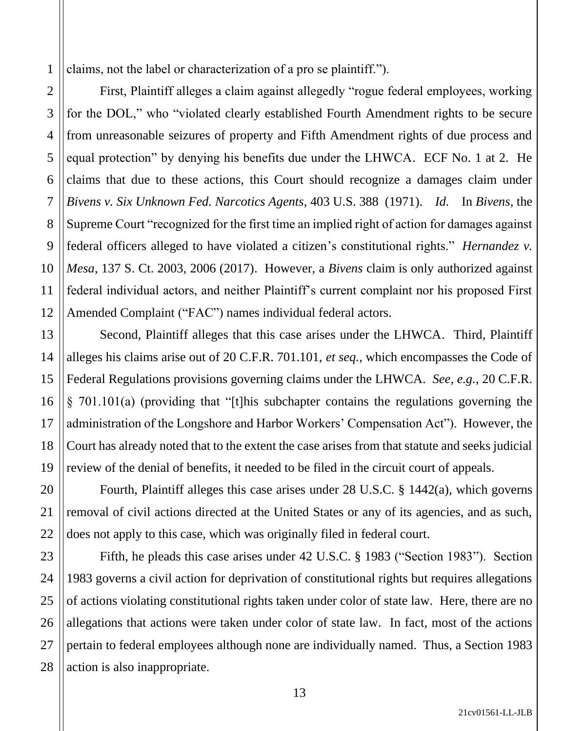1 claims, not the label or characterization of a pro se plaintiff.").

First, Plaintiff alleges a claim against allegedly "rogue federal employees, working for the DOL," who "violated clearly established Fourth Amendment rights to be secure from unreasonable seizures of property and Fifth Amendment rights of due process and equal protection" by denying his benefits due under the LHWCA. ECF No. 1 at 2. He claims that due to these actions, this Court should recognize a damages claim under *Bivens v. Six Unknown Fed. Narcotics Agents*, 403 U.S. 388 (1971). *Id.* In *Bivens*, the Supreme Court "recognized for the first time an implied right of action for damages against federal officers alleged to have violated a citizen's constitutional rights." *Hernandez v. Mesa*, 137 S. Ct. 2003, 2006 (2017). However, a *Bivens* claim is only authorized against federal individual actors, and neither Plaintiff's current complaint nor his proposed First Amended Complaint ("FAC") names individual federal actors.

Second, Plaintiff alleges that this case arises under the LHWCA. Third, Plaintiff alleges his claims arise out of 20 C.F.R. 701.101, *et seq.*, which encompasses the Code of Federal Regulations provisions governing claims under the LHWCA. *See, e.g.*, 20 C.F.R. § 701.101(a) (providing that "[t]his subchapter contains the regulations governing the administration of the Longshore and Harbor Workers' Compensation Act"). However, the Court has already noted that to the extent the case arises from that statute and seeks judicial review of the denial of benefits, it needed to be filed in the circuit court of appeals.

Fourth, Plaintiff alleges this case arises under 28 U.S.C. § 1442(a), which governs removal of civil actions directed at the United States or any of its agencies, and as such, does not apply to this case, which was originally filed in federal court.

Fifth, he pleads this case arises under 42 U.S.C. § 1983 ("Section 1983"). Section 1983 governs a civil action for deprivation of constitutional rights but requires allegations of actions violating constitutional rights taken under color of state law. Here, there are no allegations that actions were taken under color of state law. In fact, most of the actions pertain to federal employees although none are individually named. Thus, a Section 1983 action is also inappropriate.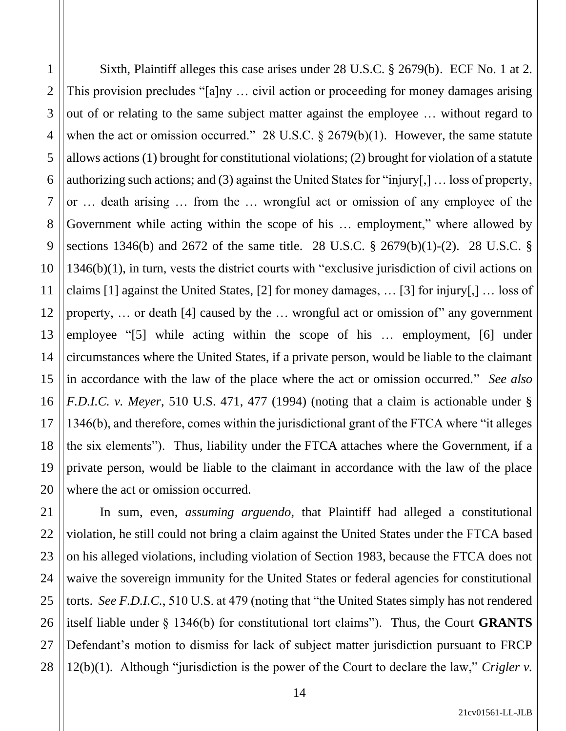Sixth, Plaintiff alleges this case arises under 28 U.S.C. § 2679(b). ECF No. 1 at 2. This provision precludes "[a]ny … civil action or proceeding for money damages arising out of or relating to the same subject matter against the employee … without regard to when the act or omission occurred." 28 U.S.C. § 2679(b)(1). However, the same statute allows actions (1) brought for constitutional violations; (2) brought for violation of a statute authorizing such actions; and (3) against the United States for "injury[,] … loss of property, or … death arising … from the … wrongful act or omission of any employee of the Government while acting within the scope of his … employment," where allowed by sections 1346(b) and 2672 of the same title. 28 U.S.C. § 2679(b)(1)-(2). 28 U.S.C. § 1346(b)(1), in turn, vests the district courts with "exclusive jurisdiction of civil actions on claims [1] against the United States, [2] for money damages, … [3] for injury[,] … loss of property, … or death [4] caused by the … wrongful act or omission of" any government employee "[5] while acting within the scope of his … employment, [6] under circumstances where the United States, if a private person, would be liable to the claimant in accordance with the law of the place where the act or omission occurred." *See also F.D.I.C. v. Meyer*, 510 U.S. 471, 477 (1994) (noting that a claim is actionable under § 1346(b), and therefore, comes within the jurisdictional grant of the FTCA where "it alleges the six elements").Thus, liability under the FTCA attaches where the Government, if a private person, would be liable to the claimant in accordance with the law of the place where the act or omission occurred. In sum, even, *assuming arguendo*, that Plaintiff had alleged a constitutional

violation, he still could not bring a claim against the United States under the FTCA based on his alleged violations, including violation of Section 1983, because the FTCA does not waive the sovereign immunity for the United States or federal agencies for constitutional torts. *See F.D.I.C.*, 510 U.S. at 479 (noting that "the United States simply has not rendered itself liable under § 1346(b) for constitutional tort claims"). Thus, the Court **GRANTS** Defendant's motion to dismiss for lack of subject matter jurisdiction pursuant to FRCP 12(b)(1). Although "jurisdiction is the power of the Court to declare the law," *Crigler v.*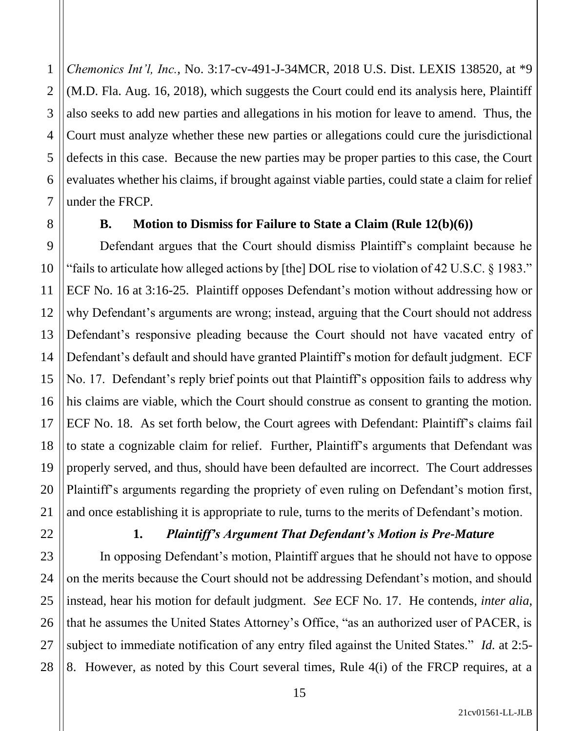4 *Chemonics Int'l, Inc.*, No. 3:17-cv-491-J-34MCR, 2018 U.S. Dist. LEXIS 138520, at \*9 (M.D. Fla. Aug. 16, 2018), which suggests the Court could end its analysis here, Plaintiff also seeks to add new parties and allegations in his motion for leave to amend. Thus, the Court must analyze whether these new parties or allegations could cure the jurisdictional defects in this case. Because the new parties may be proper parties to this case, the Court evaluates whether his claims, if brought against viable parties, could state a claim for relief under the FRCP.

1

2

3

5

6

7

8

11

13

### **B. Motion to Dismiss for Failure to State a Claim (Rule 12(b)(6))**

9 10 12 14 15 16 17 18 19 20 Defendant argues that the Court should dismiss Plaintiff's complaint because he "fails to articulate how alleged actions by [the] DOL rise to violation of 42 U.S.C. § 1983." ECF No. 16 at 3:16-25. Plaintiff opposes Defendant's motion without addressing how or why Defendant's arguments are wrong; instead, arguing that the Court should not address Defendant's responsive pleading because the Court should not have vacated entry of Defendant's default and should have granted Plaintiff's motion for default judgment. ECF No. 17. Defendant's reply brief points out that Plaintiff's opposition fails to address why his claims are viable, which the Court should construe as consent to granting the motion. ECF No. 18. As set forth below, the Court agrees with Defendant: Plaintiff's claims fail to state a cognizable claim for relief. Further, Plaintiff's arguments that Defendant was properly served, and thus, should have been defaulted are incorrect. The Court addresses Plaintiff's arguments regarding the propriety of even ruling on Defendant's motion first, and once establishing it is appropriate to rule, turns to the merits of Defendant's motion.

21

22

23

24

25

26

27

28

## **1.** *Plaintiff's Argument That Defendant's Motion is Pre-Mature*

In opposing Defendant's motion, Plaintiff argues that he should not have to oppose on the merits because the Court should not be addressing Defendant's motion, and should instead, hear his motion for default judgment. *See* ECF No. 17. He contends, *inter alia*, that he assumes the United States Attorney's Office, "as an authorized user of PACER, is subject to immediate notification of any entry filed against the United States." *Id.* at 2:5- 8. However, as noted by this Court several times, Rule 4(i) of the FRCP requires, at a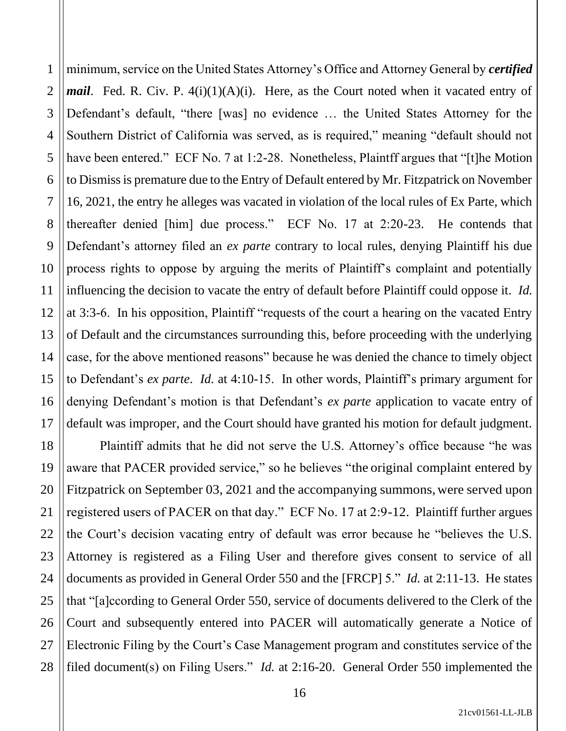1 2 3 4 5 6 7 8 9 10 11 12 13 14 15 16 17 minimum, service on the United States Attorney's Office and Attorney General by *certified mail.* Fed. R. Civ. P. 4(i)(1)(A)(i). Here, as the Court noted when it vacated entry of Defendant's default, "there [was] no evidence … the United States Attorney for the Southern District of California was served, as is required," meaning "default should not have been entered." ECF No. 7 at 1:2-28. Nonetheless, Plaintff argues that "[t]he Motion to Dismiss is premature due to the Entry of Default entered by Mr. Fitzpatrick on November 16, 2021, the entry he alleges was vacated in violation of the local rules of Ex Parte, which thereafter denied [him] due process." ECF No. 17 at 2:20-23. He contends that Defendant's attorney filed an *ex parte* contrary to local rules, denying Plaintiff his due process rights to oppose by arguing the merits of Plaintiff's complaint and potentially influencing the decision to vacate the entry of default before Plaintiff could oppose it. *Id.*  at 3:3-6. In his opposition, Plaintiff "requests of the court a hearing on the vacated Entry of Default and the circumstances surrounding this, before proceeding with the underlying case, for the above mentioned reasons" because he was denied the chance to timely object to Defendant's *ex parte*. *Id.* at 4:10-15. In other words, Plaintiff's primary argument for denying Defendant's motion is that Defendant's *ex parte* application to vacate entry of default was improper, and the Court should have granted his motion for default judgment.

18 19 20 22 23 24 25 26 28 Plaintiff admits that he did not serve the U.S. Attorney's office because "he was aware that PACER provided service," so he believes "the original complaint entered by Fitzpatrick on September 03, 2021 and the accompanying summons,were served upon registered users of PACER on that day." ECF No. 17 at 2:9-12. Plaintiff further argues the Court's decision vacating entry of default was error because he "believes the U.S. Attorney is registered as a Filing User and therefore gives consent to service of all documents as provided in General Order 550 and the [FRCP] 5." *Id.* at 2:11-13. He states that "[a]ccording to General Order 550, service of documents delivered to the Clerk of the Court and subsequently entered into PACER will automatically generate a Notice of Electronic Filing by the Court's Case Management program and constitutes service of the filed document(s) on Filing Users." *Id.* at 2:16-20. General Order 550 implemented the

21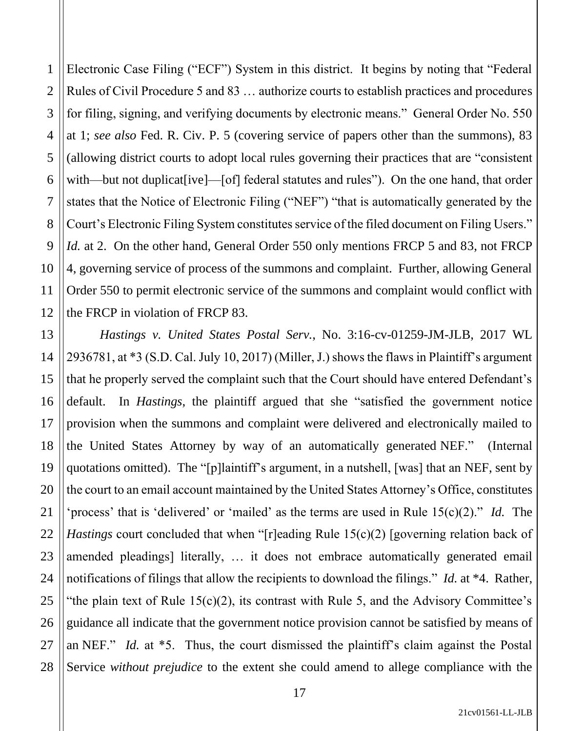1 2 3 4 5 6 7 8 9 10 11 12 Electronic Case Filing ("ECF") System in this district. It begins by noting that "Federal Rules of Civil Procedure 5 and 83 … authorize courts to establish practices and procedures for filing, signing, and verifying documents by electronic means." General Order No. 550 at 1; *see also* Fed. R. Civ. P. 5 (covering service of papers other than the summons), 83 (allowing district courts to adopt local rules governing their practices that are "consistent with—but not duplicat[ive]—[of] federal statutes and rules"). On the one hand, that order states that the Notice of Electronic Filing ("NEF") "that is automatically generated by the Court's Electronic Filing System constitutes service of the filed document on Filing Users." *Id.* at 2. On the other hand, General Order 550 only mentions FRCP 5 and 83, not FRCP 4, governing service of process of the summons and complaint. Further, allowing General Order 550 to permit electronic service of the summons and complaint would conflict with the FRCP in violation of FRCP 83.

13 14 15 16 17 18 19 20 22 23 24 25 26 27 28 *Hastings v. United States Postal Serv.*, No. 3:16-cv-01259-JM-JLB, 2017 WL 2936781, at \*3 (S.D. Cal. July 10, 2017) (Miller, J.) shows the flaws in Plaintiff's argument that he properly served the complaint such that the Court should have entered Defendant's default. In *Hastings*, the plaintiff argued that she "satisfied the government notice provision when the summons and complaint were delivered and electronically mailed to the United States Attorney by way of an automatically generated NEF." (Internal quotations omitted). The "[p]laintiff's argument, in a nutshell, [was] that an NEF, sent by the court to an email account maintained by the United States Attorney's Office, constitutes 'process' that is 'delivered' or 'mailed' as the terms are used in Rule 15(c)(2)." *Id.* The *Hastings* court concluded that when "[r]eading Rule 15(c)(2) [governing relation back of amended pleadings] literally, … it does not embrace automatically generated email notifications of filings that allow the recipients to download the filings." *Id.* at \*4. Rather, "the plain text of Rule  $15(c)(2)$ , its contrast with Rule 5, and the Advisory Committee's guidance all indicate that the government notice provision cannot be satisfied by means of an NEF." *Id.* at \*5. Thus, the court dismissed the plaintiff's claim against the Postal Service *without prejudice* to the extent she could amend to allege compliance with the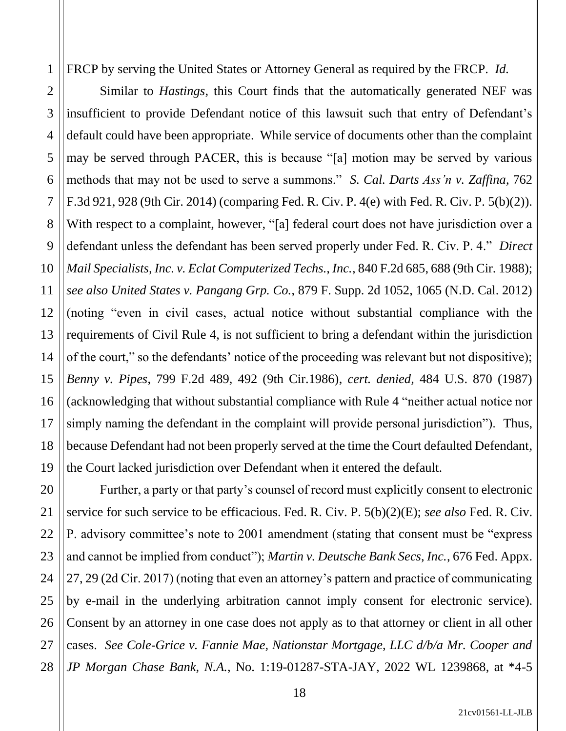FRCP by serving the United States or Attorney General as required by the FRCP. *Id.* 

1

2

3

4

5

6

7

8

9

10

11

12

13

14

15

17

18

21

16 19 Similar to *Hastings*, this Court finds that the automatically generated NEF was insufficient to provide Defendant notice of this lawsuit such that entry of Defendant's default could have been appropriate. While service of documents other than the complaint may be served through PACER, this is because "[a] motion may be served by various methods that may not be used to serve a summons." *S. Cal. Darts Ass'n v. Zaffina*, 762 F.3d 921, 928 (9th Cir. 2014) (comparing Fed. R. Civ. P. 4(e) with Fed. R. Civ. P. 5(b)(2)). With respect to a complaint, however, "[a] federal court does not have jurisdiction over a defendant unless the defendant has been served properly under Fed. R. Civ. P. 4." *Direct Mail Specialists, Inc. v. Eclat Computerized Techs., Inc.*, 840 F.2d 685, 688 (9th Cir. 1988); *see also United States v. Pangang Grp. Co.*, 879 F. Supp. 2d 1052, 1065 (N.D. Cal. 2012) (noting "even in civil cases, actual notice without substantial compliance with the requirements of Civil Rule 4, is not sufficient to bring a defendant within the jurisdiction of the court," so the defendants' notice of the proceeding was relevant but not dispositive); *Benny v. Pipes*, 799 F.2d 489, 492 (9th Cir.1986), *cert. denied,* 484 U.S. 870 (1987) (acknowledging that without substantial compliance with Rule 4 "neither actual notice nor simply naming the defendant in the complaint will provide personal jurisdiction"). Thus, because Defendant had not been properly served at the time the Court defaulted Defendant, the Court lacked jurisdiction over Defendant when it entered the default.

20 22 23 24 25 26 27 28 Further, a party or that party's counsel of record must explicitly consent to electronic service for such service to be efficacious. Fed. R. Civ. P. 5(b)(2)(E); *see also* Fed. R. Civ. P. advisory committee's note to 2001 amendment (stating that consent must be "express and cannot be implied from conduct"); *Martin v. Deutsche Bank Secs, Inc.*, 676 Fed. Appx. 27, 29 (2d Cir. 2017) (noting that even an attorney's pattern and practice of communicating by e-mail in the underlying arbitration cannot imply consent for electronic service). Consent by an attorney in one case does not apply as to that attorney or client in all other cases. *See Cole-Grice v. Fannie Mae, Nationstar Mortgage, LLC d/b/a Mr. Cooper and JP Morgan Chase Bank, N.A.*, No. 1:19-01287-STA-JAY, 2022 WL 1239868, at \*4-5

21cv01561-LL-JLB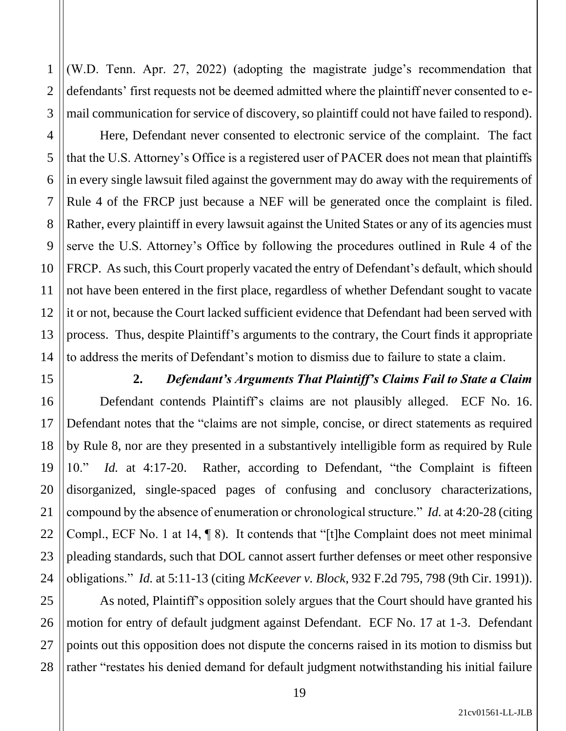1

2

3

(W.D. Tenn. Apr. 27, 2022) (adopting the magistrate judge's recommendation that defendants' first requests not be deemed admitted where the plaintiff never consented to email communication for service of discovery, so plaintiff could not have failed to respond).

Here, Defendant never consented to electronic service of the complaint. The fact that the U.S. Attorney's Office is a registered user of PACER does not mean that plaintiffs in every single lawsuit filed against the government may do away with the requirements of Rule 4 of the FRCP just because a NEF will be generated once the complaint is filed. Rather, every plaintiff in every lawsuit against the United States or any of its agencies must serve the U.S. Attorney's Office by following the procedures outlined in Rule 4 of the FRCP. As such, this Court properly vacated the entry of Defendant's default, which should not have been entered in the first place, regardless of whether Defendant sought to vacate it or not, because the Court lacked sufficient evidence that Defendant had been served with process. Thus, despite Plaintiff's arguments to the contrary, the Court finds it appropriate to address the merits of Defendant's motion to dismiss due to failure to state a claim.

### **2.** *Defendant's Arguments That Plaintiff's Claims Fail to State a Claim*

Defendant contends Plaintiff's claims are not plausibly alleged. ECF No. 16. Defendant notes that the "claims are not simple, concise, or direct statements as required by Rule 8, nor are they presented in a substantively intelligible form as required by Rule 10." *Id.* at 4:17-20. Rather, according to Defendant, "the Complaint is fifteen disorganized, single-spaced pages of confusing and conclusory characterizations, compound by the absence of enumeration or chronological structure." *Id.* at 4:20-28 (citing Compl., ECF No. 1 at 14, ¶ 8). It contends that "[t]he Complaint does not meet minimal pleading standards, such that DOL cannot assert further defenses or meet other responsive obligations." *Id.* at 5:11-13 (citing *McKeever v. Block*, 932 F.2d 795, 798 (9th Cir. 1991)).

28 As noted, Plaintiff's opposition solely argues that the Court should have granted his motion for entry of default judgment against Defendant. ECF No. 17 at 1-3. Defendant points out this opposition does not dispute the concerns raised in its motion to dismiss but rather "restates his denied demand for default judgment notwithstanding his initial failure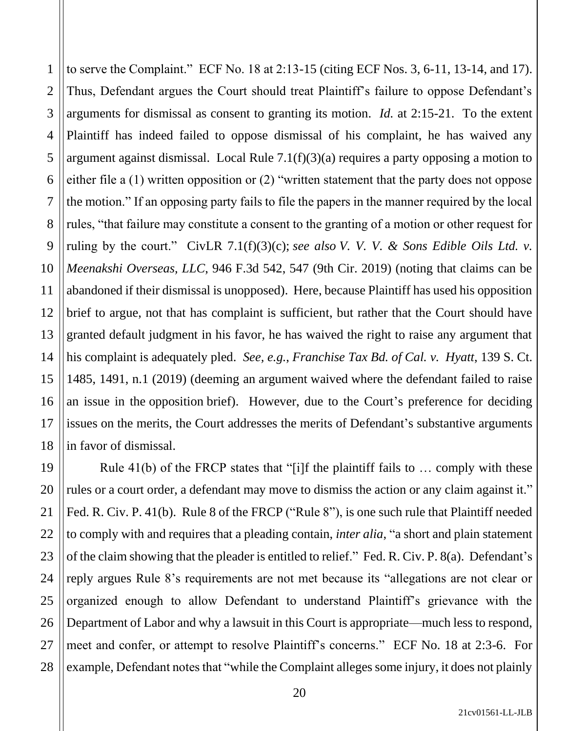2 3 4 5 6 7 8 9 10 11 12 13 14 15 16 17 18 to serve the Complaint." ECF No. 18 at 2:13-15 (citing ECF Nos. 3, 6-11, 13-14, and 17). Thus, Defendant argues the Court should treat Plaintiff's failure to oppose Defendant's arguments for dismissal as consent to granting its motion. *Id.* at 2:15-21. To the extent Plaintiff has indeed failed to oppose dismissal of his complaint, he has waived any argument against dismissal. Local Rule 7.1(f)(3)(a) requires a party opposing a motion to either file a (1) written opposition or (2) "written statement that the party does not oppose the motion." If an opposing party fails to file the papers in the manner required by the local rules, "that failure may constitute a consent to the granting of a motion or other request for ruling by the court." CivLR 7.1(f)(3)(c); *see also V. V. V. & Sons Edible Oils Ltd. v. Meenakshi Overseas, LLC*, 946 F.3d 542, 547 (9th Cir. 2019) (noting that claims can be abandoned if their dismissal is unopposed). Here, because Plaintiff has used his opposition brief to argue, not that has complaint is sufficient, but rather that the Court should have granted default judgment in his favor, he has waived the right to raise any argument that his complaint is adequately pled. *See, e.g.*, *Franchise Tax Bd. of Cal. v. Hyatt*, 139 S. Ct. 1485, 1491, n.1 (2019) (deeming an argument waived where the defendant failed to raise an issue in the opposition brief). However, due to the Court's preference for deciding issues on the merits, the Court addresses the merits of Defendant's substantive arguments in favor of dismissal.

1

19 20 21 22 23 24 25 26 27 28 Rule  $41(b)$  of the FRCP states that "[i]f the plaintiff fails to ... comply with these rules or a court order, a defendant may move to dismiss the action or any claim against it." Fed. R. Civ. P. 41(b). Rule 8 of the FRCP ("Rule 8"), is one such rule that Plaintiff needed to comply with and requires that a pleading contain, *inter alia*, "a short and plain statement of the claim showing that the pleader is entitled to relief." Fed. R. Civ. P. 8(a). Defendant's reply argues Rule 8's requirements are not met because its "allegations are not clear or organized enough to allow Defendant to understand Plaintiff's grievance with the Department of Labor and why a lawsuit in this Court is appropriate—much less to respond, meet and confer, or attempt to resolve Plaintiff's concerns." ECF No. 18 at 2:3-6. For example, Defendant notes that "while the Complaint alleges some injury, it does not plainly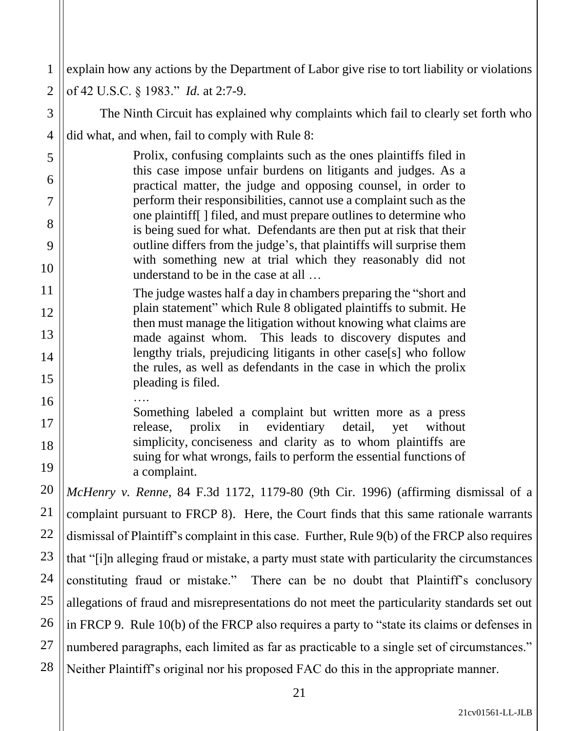1 2 3 4 5 6 7 8 9 10 11 12 13 14 15 16 17 18 19 20 21 22 23 24 25 26 27 28 explain how any actions by the Department of Labor give rise to tort liability or violations of 42 U.S.C. § 1983." *Id.* at 2:7-9. The Ninth Circuit has explained why complaints which fail to clearly set forth who did what, and when, fail to comply with Rule 8: Prolix, confusing complaints such as the ones plaintiffs filed in this case impose unfair burdens on litigants and judges. As a practical matter, the judge and opposing counsel, in order to perform their responsibilities, cannot use a complaint such as the one plaintiff[ ] filed, and must prepare outlines to determine who is being sued for what. Defendants are then put at risk that their outline differs from the judge's, that plaintiffs will surprise them with something new at trial which they reasonably did not understand to be in the case at all … The judge wastes half a day in chambers preparing the "short and plain statement" which Rule 8 obligated plaintiffs to submit. He then must manage the litigation without knowing what claims are made against whom. This leads to discovery disputes and lengthy trials, prejudicing litigants in other case[s] who follow the rules, as well as defendants in the case in which the prolix pleading is filed. …. Something labeled a complaint but written more as a press release, prolix in evidentiary detail, yet without simplicity, conciseness and clarity as to whom plaintiffs are suing for what wrongs, fails to perform the essential functions of a complaint. *McHenry v. Renne*, 84 F.3d 1172, 1179-80 (9th Cir. 1996) (affirming dismissal of a complaint pursuant to FRCP 8). Here, the Court finds that this same rationale warrants dismissal of Plaintiff's complaint in this case. Further, Rule 9(b) of the FRCP also requires that "[i]n alleging fraud or mistake, a party must state with particularity the circumstances constituting fraud or mistake." There can be no doubt that Plaintiff's conclusory allegations of fraud and misrepresentations do not meet the particularity standards set out in FRCP 9. Rule 10(b) of the FRCP also requires a party to "state its claims or defenses in numbered paragraphs, each limited as far as practicable to a single set of circumstances." Neither Plaintiff's original nor his proposed FAC do this in the appropriate manner.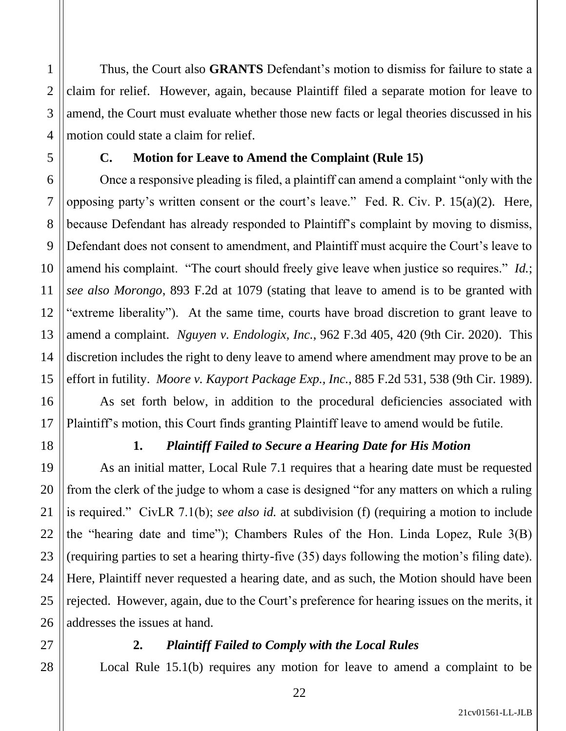Thus, the Court also **GRANTS** Defendant's motion to dismiss for failure to state a claim for relief. However, again, because Plaintiff filed a separate motion for leave to amend, the Court must evaluate whether those new facts or legal theories discussed in his motion could state a claim for relief.

### **C. Motion for Leave to Amend the Complaint (Rule 15)**

Once a responsive pleading is filed, a plaintiff can amend a complaint "only with the opposing party's written consent or the court's leave." Fed. R. Civ. P. 15(a)(2). Here, because Defendant has already responded to Plaintiff's complaint by moving to dismiss, Defendant does not consent to amendment, and Plaintiff must acquire the Court's leave to amend his complaint. "The court should freely give leave when justice so requires." *Id.*; *see also Morongo*, 893 F.2d at 1079 (stating that leave to amend is to be granted with "extreme liberality"). At the same time, courts have broad discretion to grant leave to amend a complaint. *Nguyen v. Endologix, Inc.*, 962 F.3d 405, 420 (9th Cir. 2020). This discretion includes the right to deny leave to amend where amendment may prove to be an effort in futility. *Moore v. Kayport Package Exp., Inc.*, 885 F.2d 531, 538 (9th Cir. 1989).

As set forth below, in addition to the procedural deficiencies associated with Plaintiff's motion, this Court finds granting Plaintiff leave to amend would be futile.

1

2

3

4

5

6

7

8

9

10

11

12

13

14

15

16

17

18

19

20

21

22

23

24

25

26

## **1.** *Plaintiff Failed to Secure a Hearing Date for His Motion*

As an initial matter, Local Rule 7.1 requires that a hearing date must be requested from the clerk of the judge to whom a case is designed "for any matters on which a ruling is required." CivLR 7.1(b); *see also id.* at subdivision (f) (requiring a motion to include the "hearing date and time"); Chambers Rules of the Hon. Linda Lopez, Rule 3(B) (requiring parties to set a hearing thirty-five (35) days following the motion's filing date). Here, Plaintiff never requested a hearing date, and as such, the Motion should have been rejected. However, again, due to the Court's preference for hearing issues on the merits, it addresses the issues at hand.

# 27 28

## **2.** *Plaintiff Failed to Comply with the Local Rules*

Local Rule 15.1(b) requires any motion for leave to amend a complaint to be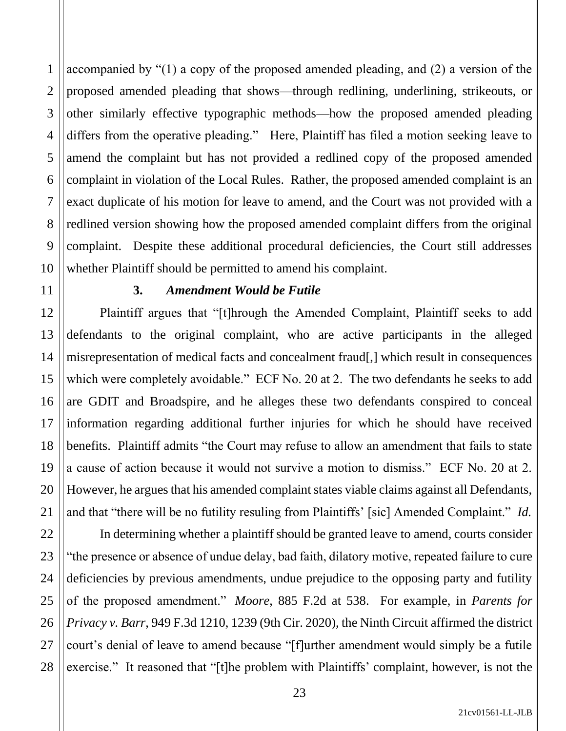accompanied by "(1) a copy of the proposed amended pleading, and (2) a version of the proposed amended pleading that shows—through redlining, underlining, strikeouts, or other similarly effective typographic methods—how the proposed amended pleading differs from the operative pleading." Here, Plaintiff has filed a motion seeking leave to amend the complaint but has not provided a redlined copy of the proposed amended complaint in violation of the Local Rules. Rather, the proposed amended complaint is an exact duplicate of his motion for leave to amend, and the Court was not provided with a redlined version showing how the proposed amended complaint differs from the original complaint. Despite these additional procedural deficiencies, the Court still addresses whether Plaintiff should be permitted to amend his complaint.

### **3.** *Amendment Would be Futile*

Plaintiff argues that "[t]hrough the Amended Complaint, Plaintiff seeks to add defendants to the original complaint, who are active participants in the alleged misrepresentation of medical facts and concealment fraud[,] which result in consequences which were completely avoidable." ECF No. 20 at 2. The two defendants he seeks to add are GDIT and Broadspire, and he alleges these two defendants conspired to conceal information regarding additional further injuries for which he should have received benefits. Plaintiff admits "the Court may refuse to allow an amendment that fails to state a cause of action because it would not survive a motion to dismiss." ECF No. 20 at 2. However, he argues that his amended complaint states viable claims against all Defendants, and that "there will be no futility resuling from Plaintiffs' [sic] Amended Complaint." *Id.*

In determining whether a plaintiff should be granted leave to amend, courts consider "the presence or absence of undue delay, bad faith, dilatory motive, repeated failure to cure deficiencies by previous amendments, undue prejudice to the opposing party and futility of the proposed amendment." *Moore*, 885 F.2d at 538. For example, in *Parents for Privacy v. Barr*, 949 F.3d 1210, 1239 (9th Cir. 2020), the Ninth Circuit affirmed the district court's denial of leave to amend because "[f]urther amendment would simply be a futile exercise." It reasoned that "[t]he problem with Plaintiffs' complaint, however, is not the

1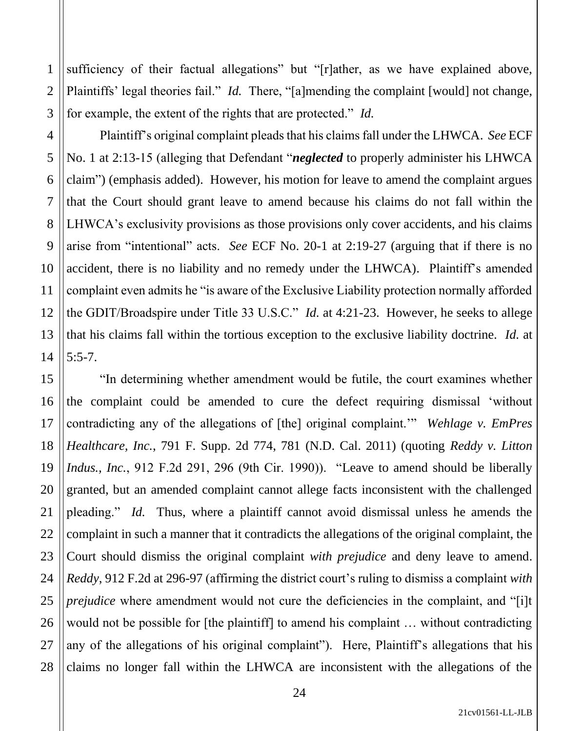sufficiency of their factual allegations" but "[r]ather, as we have explained above, Plaintiffs' legal theories fail." *Id.* There, "[a]mending the complaint [would] not change, for example, the extent of the rights that are protected." *Id.*

1

2

3

4

5

6

7

8

9

10

11

12

13

14

Plaintiff's original complaint pleads that his claims fall under the LHWCA. *See* ECF No. 1 at 2:13-15 (alleging that Defendant "*neglected* to properly administer his LHWCA claim") (emphasis added). However, his motion for leave to amend the complaint argues that the Court should grant leave to amend because his claims do not fall within the LHWCA's exclusivity provisions as those provisions only cover accidents, and his claims arise from "intentional" acts. *See* ECF No. 20-1 at 2:19-27 (arguing that if there is no accident, there is no liability and no remedy under the LHWCA). Plaintiff's amended complaint even admits he "is aware of the Exclusive Liability protection normally afforded the GDIT/Broadspire under Title 33 U.S.C." *Id.* at 4:21-23. However, he seeks to allege that his claims fall within the tortious exception to the exclusive liability doctrine. *Id.* at 5:5-7.

15 16 17 18 19 20 21 22 23 24 25 26 27 28 "In determining whether amendment would be futile, the court examines whether the complaint could be amended to cure the defect requiring dismissal 'without contradicting any of the allegations of [the] original complaint.'" *Wehlage v. EmPres Healthcare, Inc.*, 791 F. Supp. 2d 774, 781 (N.D. Cal. 2011) (quoting *Reddy v. Litton Indus., Inc.*, 912 F.2d 291, 296 (9th Cir. 1990)). "Leave to amend should be liberally granted, but an amended complaint cannot allege facts inconsistent with the challenged pleading." *Id.* Thus, where a plaintiff cannot avoid dismissal unless he amends the complaint in such a manner that it contradicts the allegations of the original complaint, the Court should dismiss the original complaint *with prejudice* and deny leave to amend. *Reddy*, 912 F.2d at 296-97 (affirming the district court's ruling to dismiss a complaint *with prejudice* where amendment would not cure the deficiencies in the complaint, and "[i]t would not be possible for [the plaintiff] to amend his complaint … without contradicting any of the allegations of his original complaint"). Here, Plaintiff's allegations that his claims no longer fall within the LHWCA are inconsistent with the allegations of the

21cv01561-LL-JLB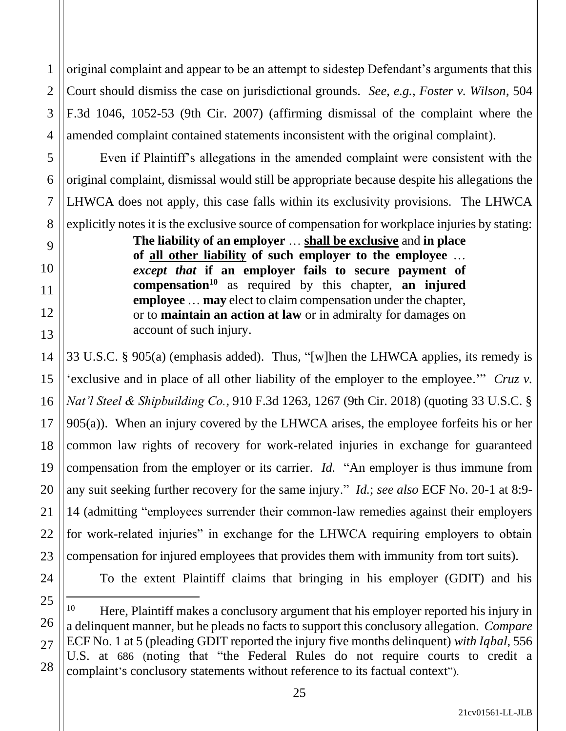1 2 3 4 original complaint and appear to be an attempt to sidestep Defendant's arguments that this Court should dismiss the case on jurisdictional grounds. *See, e.g.*, *Foster v. Wilson*, 504 F.3d 1046, 1052-53 (9th Cir. 2007) (affirming dismissal of the complaint where the amended complaint contained statements inconsistent with the original complaint).

Even if Plaintiff's allegations in the amended complaint were consistent with the original complaint, dismissal would still be appropriate because despite his allegations the LHWCA does not apply, this case falls within its exclusivity provisions. The LHWCA explicitly notes it is the exclusive source of compensation for workplace injuries by stating:

> **The liability of an employer** … **shall be exclusive** and **in place of all other liability of such employer to the employee** … *except that* **if an employer fails to secure payment of compensation<sup>10</sup>** as required by this chapter, **an injured employee** … **may** elect to claim compensation under the chapter, or to **maintain an action at law** or in admiralty for damages on account of such injury.

33 U.S.C. § 905(a) (emphasis added). Thus, "[w]hen the LHWCA applies, its remedy is 'exclusive and in place of all other liability of the employer to the employee.'" *Cruz v. Nat'l Steel & Shipbuilding Co.*, 910 F.3d 1263, 1267 (9th Cir. 2018) (quoting 33 U.S.C. § 905(a)). When an injury covered by the LHWCA arises, the employee forfeits his or her common law rights of recovery for work-related injuries in exchange for guaranteed compensation from the employer or its carrier. *Id.* "An employer is thus immune from any suit seeking further recovery for the same injury." *Id.*; *see also* ECF No. 20-1 at 8:9- 14 (admitting "employees surrender their common-law remedies against their employers for work-related injuries" in exchange for the LHWCA requiring employers to obtain compensation for injured employees that provides them with immunity from tort suits).

24 25

26

27

28

5

6

7

8

9

10

11

12

13

14

15

16

17

18

19

20

21

22

23

To the extent Plaintiff claims that bringing in his employer (GDIT) and his

<sup>&</sup>lt;sup>10</sup> Here, Plaintiff makes a conclusory argument that his employer reported his injury in a delinquent manner, but he pleads no facts to support this conclusory allegation. *Compare*  ECF No. 1 at 5 (pleading GDIT reported the injury five months delinquent) *with Iqbal*, 556 U.S. at 686 (noting that "the Federal Rules do not require courts to credit a complaint's conclusory statements without reference to its factual context").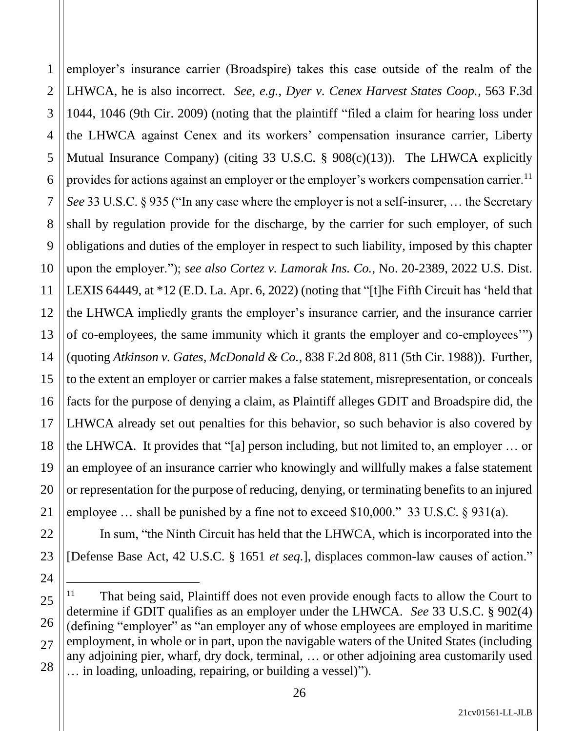1 2 3 4 5 6 7 8 9 10 11 12 13 14 15 16 17 18 19 20 21 employer's insurance carrier (Broadspire) takes this case outside of the realm of the LHWCA, he is also incorrect. *See, e.g.*, *Dyer v. Cenex Harvest States Coop.*, 563 F.3d 1044, 1046 (9th Cir. 2009) (noting that the plaintiff "filed a claim for hearing loss under the LHWCA against Cenex and its workers' compensation insurance carrier, Liberty Mutual Insurance Company) (citing 33 U.S.C. § 908(c)(13)). The LHWCA explicitly provides for actions against an employer or the employer's workers compensation carrier.<sup>11</sup> *See* 33 U.S.C. § 935 ("In any case where the employer is not a self-insurer, … the Secretary shall by regulation provide for the discharge, by the carrier for such employer, of such obligations and duties of the employer in respect to such liability, imposed by this chapter upon the employer."); *see also Cortez v. Lamorak Ins. Co.*, No. 20-2389, 2022 U.S. Dist. LEXIS 64449, at \*12 (E.D. La. Apr. 6, 2022) (noting that "[t]he Fifth Circuit has 'held that the LHWCA impliedly grants the employer's insurance carrier, and the insurance carrier of co-employees, the same immunity which it grants the employer and co-employees'") (quoting *Atkinson v. Gates, McDonald & Co.*, 838 F.2d 808, 811 (5th Cir. 1988)). Further, to the extent an employer or carrier makes a false statement, misrepresentation, or conceals facts for the purpose of denying a claim, as Plaintiff alleges GDIT and Broadspire did, the LHWCA already set out penalties for this behavior, so such behavior is also covered by the LHWCA. It provides that "[a] person including, but not limited to, an employer … or an employee of an insurance carrier who knowingly and willfully makes a false statement or representation for the purpose of reducing, denying, or terminating benefits to an injured employee … shall be punished by a fine not to exceed \$10,000." 33 U.S.C. § 931(a).

In sum, "the Ninth Circuit has held that the LHWCA, which is incorporated into the [Defense Base Act, 42 U.S.C. § 1651 *et seq.*], displaces common-law causes of action."

22

23

<sup>25</sup> 26 27 28 <sup>11</sup> That being said, Plaintiff does not even provide enough facts to allow the Court to determine if GDIT qualifies as an employer under the LHWCA. *See* 33 U.S.C. § 902(4) (defining "employer" as "an employer any of whose employees are employed in maritime employment, in whole or in part, upon the navigable waters of the United States (including any adjoining pier, wharf, dry dock, terminal, … or other adjoining area customarily used … in loading, unloading, repairing, or building a vessel)").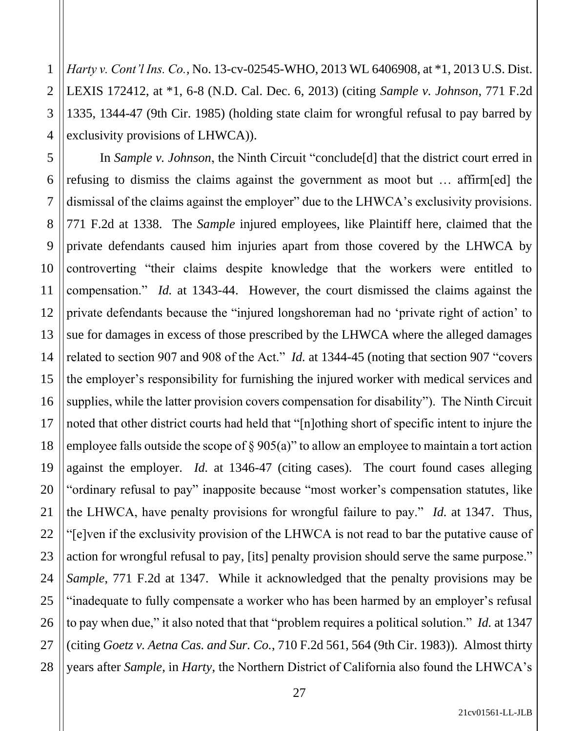4 *Harty v. Cont'l Ins. Co.*, No. 13-cv-02545-WHO, 2013 WL 6406908, at \*1, 2013 U.S. Dist. LEXIS 172412, at \*1, 6-8 (N.D. Cal. Dec. 6, 2013) (citing *Sample v. Johnson*, 771 F.2d 1335, 1344-47 (9th Cir. 1985) (holding state claim for wrongful refusal to pay barred by exclusivity provisions of LHWCA)).

1

2

3

5

7

11

21

27

6 8 9 10 12 13 14 15 16 17 18 19 20 22 23 24 25 26 28 In *Sample v. Johnson*, the Ninth Circuit "conclude[d] that the district court erred in refusing to dismiss the claims against the government as moot but … affirm[ed] the dismissal of the claims against the employer" due to the LHWCA's exclusivity provisions. 771 F.2d at 1338. The *Sample* injured employees, like Plaintiff here, claimed that the private defendants caused him injuries apart from those covered by the LHWCA by controverting "their claims despite knowledge that the workers were entitled to compensation." *Id.* at 1343-44. However, the court dismissed the claims against the private defendants because the "injured longshoreman had no 'private right of action' to sue for damages in excess of those prescribed by the LHWCA where the alleged damages related to section 907 and 908 of the Act." *Id.* at 1344-45 (noting that section 907 "covers the employer's responsibility for furnishing the injured worker with medical services and supplies, while the latter provision covers compensation for disability"). The Ninth Circuit noted that other district courts had held that "[n]othing short of specific intent to injure the employee falls outside the scope of § 905(a)" to allow an employee to maintain a tort action against the employer. *Id.* at 1346-47 (citing cases). The court found cases alleging "ordinary refusal to pay" inapposite because "most worker's compensation statutes, like the LHWCA, have penalty provisions for wrongful failure to pay." *Id.* at 1347. Thus, "[e]ven if the exclusivity provision of the LHWCA is not read to bar the putative cause of action for wrongful refusal to pay, [its] penalty provision should serve the same purpose." *Sample*, 771 F.2d at 1347. While it acknowledged that the penalty provisions may be "inadequate to fully compensate a worker who has been harmed by an employer's refusal to pay when due," it also noted that that "problem requires a political solution." *Id.* at 1347 (citing *Goetz v. Aetna Cas. and Sur. Co.*, 710 F.2d 561, 564 (9th Cir. 1983)). Almost thirty years after *Sample*, in *Harty*, the Northern District of California also found the LHWCA's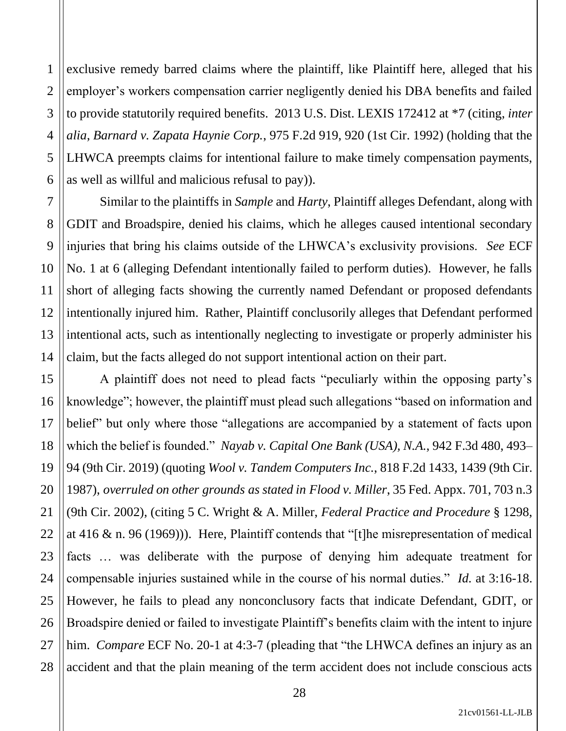2 3 4 5 6 exclusive remedy barred claims where the plaintiff, like Plaintiff here, alleged that his employer's workers compensation carrier negligently denied his DBA benefits and failed to provide statutorily required benefits. 2013 U.S. Dist. LEXIS 172412 at \*7 (citing, *inter alia*, *Barnard v. Zapata Haynie Corp.*, 975 F.2d 919, 920 (1st Cir. 1992) (holding that the LHWCA preempts claims for intentional failure to make timely compensation payments, as well as willful and malicious refusal to pay)).

1

7

8

9

10

11

12

13

14

15

17

18

19

20

21

22

23

24

25

27

28

Similar to the plaintiffs in *Sample* and *Harty*, Plaintiff alleges Defendant, along with GDIT and Broadspire, denied his claims, which he alleges caused intentional secondary injuries that bring his claims outside of the LHWCA's exclusivity provisions. *See* ECF No. 1 at 6 (alleging Defendant intentionally failed to perform duties). However, he falls short of alleging facts showing the currently named Defendant or proposed defendants intentionally injured him. Rather, Plaintiff conclusorily alleges that Defendant performed intentional acts, such as intentionally neglecting to investigate or properly administer his claim, but the facts alleged do not support intentional action on their part.

16 26 A plaintiff does not need to plead facts "peculiarly within the opposing party's knowledge"; however, the plaintiff must plead such allegations "based on information and belief" but only where those "allegations are accompanied by a statement of facts upon which the belief is founded." *Nayab v. Capital One Bank (USA), N.A.*, 942 F.3d 480, 493– 94 (9th Cir. 2019) (quoting *Wool v. Tandem Computers Inc.*, 818 F.2d 1433, 1439 (9th Cir. 1987), *overruled on other grounds as stated in Flood v. Miller*, 35 Fed. Appx. 701, 703 n.3 (9th Cir. 2002), (citing 5 C. Wright & A. Miller, *Federal Practice and Procedure* § 1298, at 416 & n. 96 (1969))). Here, Plaintiff contends that "[t]he misrepresentation of medical facts … was deliberate with the purpose of denying him adequate treatment for compensable injuries sustained while in the course of his normal duties." *Id.* at 3:16-18. However, he fails to plead any nonconclusory facts that indicate Defendant, GDIT, or Broadspire denied or failed to investigate Plaintiff's benefits claim with the intent to injure him. *Compare* ECF No. 20-1 at 4:3-7 (pleading that "the LHWCA defines an injury as an accident and that the plain meaning of the term accident does not include conscious acts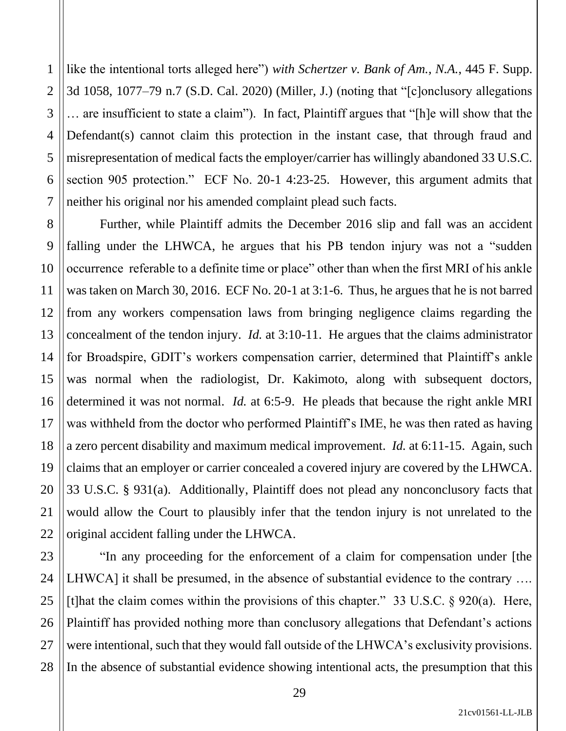1 2 3 4 like the intentional torts alleged here") *with Schertzer v. Bank of Am., N.A.*, 445 F. Supp. 3d 1058, 1077–79 n.7 (S.D. Cal. 2020) (Miller, J.) (noting that "[c]onclusory allegations … are insufficient to state a claim"). In fact, Plaintiff argues that "[h]e will show that the Defendant(s) cannot claim this protection in the instant case, that through fraud and misrepresentation of medical facts the employer/carrier has willingly abandoned 33 U.S.C. section 905 protection." ECF No. 20-1 4:23-25. However, this argument admits that neither his original nor his amended complaint plead such facts.

Further, while Plaintiff admits the December 2016 slip and fall was an accident falling under the LHWCA, he argues that his PB tendon injury was not a "sudden occurrence referable to a definite time or place" other than when the first MRI of his ankle was taken on March 30, 2016. ECF No. 20-1 at 3:1-6. Thus, he argues that he is not barred from any workers compensation laws from bringing negligence claims regarding the concealment of the tendon injury. *Id.* at 3:10-11. He argues that the claims administrator for Broadspire, GDIT's workers compensation carrier, determined that Plaintiff's ankle was normal when the radiologist, Dr. Kakimoto, along with subsequent doctors, determined it was not normal. *Id.* at 6:5-9. He pleads that because the right ankle MRI was withheld from the doctor who performed Plaintiff's IME, he was then rated as having a zero percent disability and maximum medical improvement. *Id.* at 6:11-15. Again, such claims that an employer or carrier concealed a covered injury are covered by the LHWCA. 33 U.S.C. § 931(a). Additionally, Plaintiff does not plead any nonconclusory facts that would allow the Court to plausibly infer that the tendon injury is not unrelated to the original accident falling under the LHWCA.

"In any proceeding for the enforcement of a claim for compensation under [the LHWCA] it shall be presumed, in the absence of substantial evidence to the contrary .... [t]hat the claim comes within the provisions of this chapter." 33 U.S.C. § 920(a). Here, Plaintiff has provided nothing more than conclusory allegations that Defendant's actions were intentional, such that they would fall outside of the LHWCA's exclusivity provisions. In the absence of substantial evidence showing intentional acts, the presumption that this